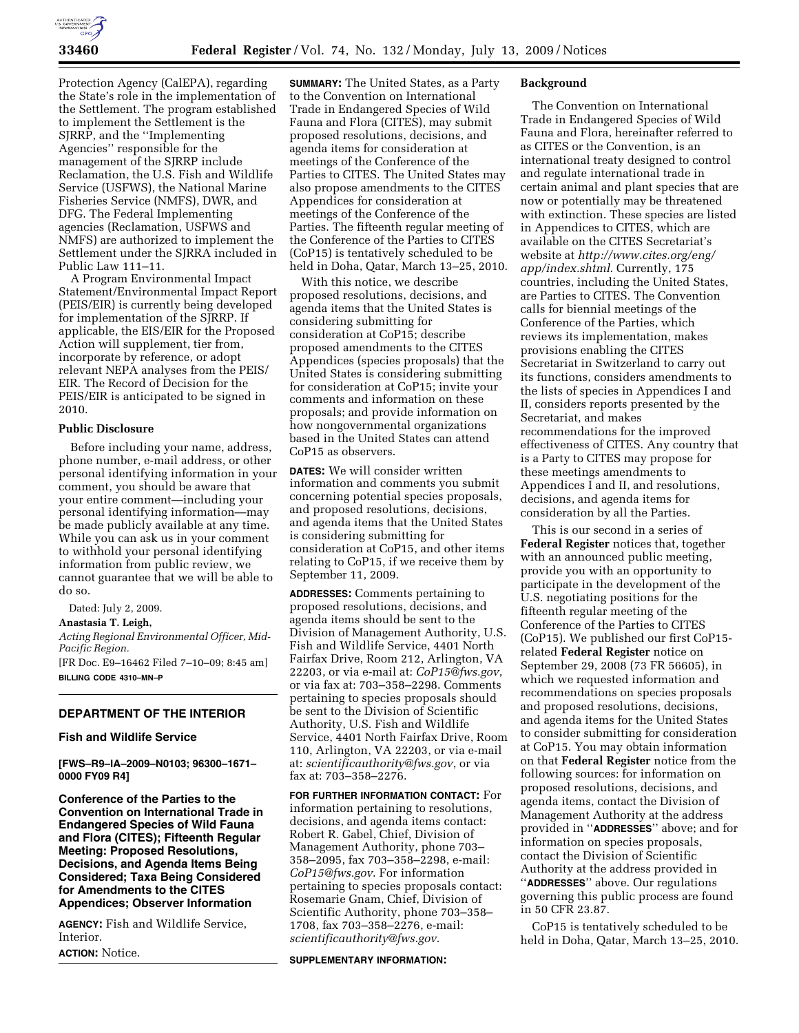

Protection Agency (CalEPA), regarding the State's role in the implementation of the Settlement. The program established to implement the Settlement is the SJRRP, and the ''Implementing Agencies'' responsible for the management of the SJRRP include Reclamation, the U.S. Fish and Wildlife Service (USFWS), the National Marine Fisheries Service (NMFS), DWR, and DFG. The Federal Implementing agencies (Reclamation, USFWS and NMFS) are authorized to implement the Settlement under the SJRRA included in Public Law 111–11.

A Program Environmental Impact Statement/Environmental Impact Report (PEIS/EIR) is currently being developed for implementation of the SJRRP. If applicable, the EIS/EIR for the Proposed Action will supplement, tier from, incorporate by reference, or adopt relevant NEPA analyses from the PEIS/ EIR. The Record of Decision for the PEIS/EIR is anticipated to be signed in 2010.

### **Public Disclosure**

Before including your name, address, phone number, e-mail address, or other personal identifying information in your comment, you should be aware that your entire comment—including your personal identifying information—may be made publicly available at any time. While you can ask us in your comment to withhold your personal identifying information from public review, we cannot guarantee that we will be able to do so.

Dated: July 2, 2009.

**Anastasia T. Leigh,** 

*Acting Regional Environmental Officer, Mid-Pacific Region.* 

[FR Doc. E9–16462 Filed 7–10–09; 8:45 am] **BILLING CODE 4310–MN–P** 

# **DEPARTMENT OF THE INTERIOR**

# **Fish and Wildlife Service**

**[FWS–R9–IA–2009–N0103; 96300–1671– 0000 FY09 R4]** 

**Conference of the Parties to the Convention on International Trade in Endangered Species of Wild Fauna and Flora (CITES); Fifteenth Regular Meeting: Proposed Resolutions, Decisions, and Agenda Items Being Considered; Taxa Being Considered for Amendments to the CITES Appendices; Observer Information** 

**AGENCY:** Fish and Wildlife Service, Interior.

**ACTION:** Notice.

**SUMMARY:** The United States, as a Party to the Convention on International Trade in Endangered Species of Wild Fauna and Flora (CITES), may submit proposed resolutions, decisions, and agenda items for consideration at meetings of the Conference of the Parties to CITES. The United States may also propose amendments to the CITES Appendices for consideration at meetings of the Conference of the Parties. The fifteenth regular meeting of the Conference of the Parties to CITES (CoP15) is tentatively scheduled to be held in Doha, Qatar, March 13–25, 2010.

With this notice, we describe proposed resolutions, decisions, and agenda items that the United States is considering submitting for consideration at CoP15; describe proposed amendments to the CITES Appendices (species proposals) that the United States is considering submitting for consideration at CoP15; invite your comments and information on these proposals; and provide information on how nongovernmental organizations based in the United States can attend CoP15 as observers.

**DATES:** We will consider written information and comments you submit concerning potential species proposals, and proposed resolutions, decisions, and agenda items that the United States is considering submitting for consideration at CoP15, and other items relating to CoP15, if we receive them by September 11, 2009.

**ADDRESSES:** Comments pertaining to proposed resolutions, decisions, and agenda items should be sent to the Division of Management Authority, U.S. Fish and Wildlife Service, 4401 North Fairfax Drive, Room 212, Arlington, VA 22203, or via e-mail at: *CoP15@fws.gov*, or via fax at: 703–358–2298. Comments pertaining to species proposals should be sent to the Division of Scientific Authority, U.S. Fish and Wildlife Service, 4401 North Fairfax Drive, Room 110, Arlington, VA 22203, or via e-mail at: *scientificauthority@fws.gov*, or via fax at: 703–358–2276.

**FOR FURTHER INFORMATION CONTACT:** For information pertaining to resolutions, decisions, and agenda items contact: Robert R. Gabel, Chief, Division of Management Authority, phone 703– 358–2095, fax 703–358–2298, e-mail: *CoP15@fws.gov*. For information pertaining to species proposals contact: Rosemarie Gnam, Chief, Division of Scientific Authority, phone 703–358– 1708, fax 703–358–2276, e-mail: *scientificauthority@fws.gov*.

#### **SUPPLEMENTARY INFORMATION:**

#### **Background**

The Convention on International Trade in Endangered Species of Wild Fauna and Flora, hereinafter referred to as CITES or the Convention, is an international treaty designed to control and regulate international trade in certain animal and plant species that are now or potentially may be threatened with extinction. These species are listed in Appendices to CITES, which are available on the CITES Secretariat's website at *http://www.cites.org/eng/ app/index.shtml*. Currently, 175 countries, including the United States, are Parties to CITES. The Convention calls for biennial meetings of the Conference of the Parties, which reviews its implementation, makes provisions enabling the CITES Secretariat in Switzerland to carry out its functions, considers amendments to the lists of species in Appendices I and II, considers reports presented by the Secretariat, and makes recommendations for the improved effectiveness of CITES. Any country that is a Party to CITES may propose for these meetings amendments to Appendices I and II, and resolutions, decisions, and agenda items for consideration by all the Parties.

This is our second in a series of **Federal Register** notices that, together with an announced public meeting, provide you with an opportunity to participate in the development of the U.S. negotiating positions for the fifteenth regular meeting of the Conference of the Parties to CITES (CoP15). We published our first CoP15 related **Federal Register** notice on September 29, 2008 (73 FR 56605), in which we requested information and recommendations on species proposals and proposed resolutions, decisions, and agenda items for the United States to consider submitting for consideration at CoP15. You may obtain information on that **Federal Register** notice from the following sources: for information on proposed resolutions, decisions, and agenda items, contact the Division of Management Authority at the address provided in ''**ADDRESSES**'' above; and for information on species proposals, contact the Division of Scientific Authority at the address provided in ''**ADDRESSES**'' above. Our regulations governing this public process are found in 50 CFR 23.87.

CoP15 is tentatively scheduled to be held in Doha, Qatar, March 13–25, 2010.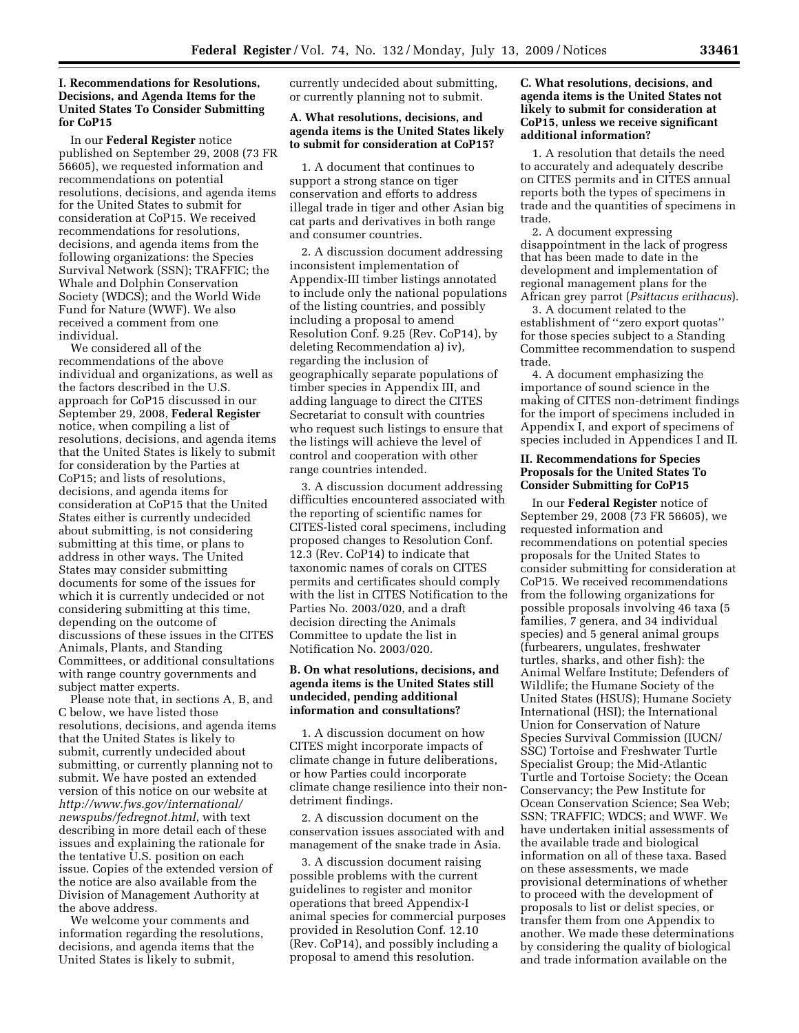# **I. Recommendations for Resolutions, Decisions, and Agenda Items for the United States To Consider Submitting for CoP15**

In our **Federal Register** notice published on September 29, 2008 (73 FR 56605), we requested information and recommendations on potential resolutions, decisions, and agenda items for the United States to submit for consideration at CoP15. We received recommendations for resolutions, decisions, and agenda items from the following organizations: the Species Survival Network (SSN); TRAFFIC; the Whale and Dolphin Conservation Society (WDCS); and the World Wide Fund for Nature (WWF). We also received a comment from one individual.

We considered all of the recommendations of the above individual and organizations, as well as the factors described in the U.S. approach for CoP15 discussed in our September 29, 2008, **Federal Register**  notice, when compiling a list of resolutions, decisions, and agenda items that the United States is likely to submit for consideration by the Parties at CoP15; and lists of resolutions, decisions, and agenda items for consideration at CoP15 that the United States either is currently undecided about submitting, is not considering submitting at this time, or plans to address in other ways. The United States may consider submitting documents for some of the issues for which it is currently undecided or not considering submitting at this time, depending on the outcome of discussions of these issues in the CITES Animals, Plants, and Standing Committees, or additional consultations with range country governments and subject matter experts.

Please note that, in sections A, B, and C below, we have listed those resolutions, decisions, and agenda items that the United States is likely to submit, currently undecided about submitting, or currently planning not to submit. We have posted an extended version of this notice on our website at *http://www.fws.gov/international/ newspubs/fedregnot.html*, with text describing in more detail each of these issues and explaining the rationale for the tentative U.S. position on each issue. Copies of the extended version of the notice are also available from the Division of Management Authority at the above address.

We welcome your comments and information regarding the resolutions, decisions, and agenda items that the United States is likely to submit,

currently undecided about submitting, or currently planning not to submit.

# **A. What resolutions, decisions, and agenda items is the United States likely to submit for consideration at CoP15?**

1. A document that continues to support a strong stance on tiger conservation and efforts to address illegal trade in tiger and other Asian big cat parts and derivatives in both range and consumer countries.

2. A discussion document addressing inconsistent implementation of Appendix-III timber listings annotated to include only the national populations of the listing countries, and possibly including a proposal to amend Resolution Conf. 9.25 (Rev. CoP14), by deleting Recommendation a) iv), regarding the inclusion of geographically separate populations of timber species in Appendix III, and adding language to direct the CITES Secretariat to consult with countries who request such listings to ensure that the listings will achieve the level of control and cooperation with other range countries intended.

3. A discussion document addressing difficulties encountered associated with the reporting of scientific names for CITES-listed coral specimens, including proposed changes to Resolution Conf. 12.3 (Rev. CoP14) to indicate that taxonomic names of corals on CITES permits and certificates should comply with the list in CITES Notification to the Parties No. 2003/020, and a draft decision directing the Animals Committee to update the list in Notification No. 2003/020.

# **B. On what resolutions, decisions, and agenda items is the United States still undecided, pending additional information and consultations?**

1. A discussion document on how CITES might incorporate impacts of climate change in future deliberations, or how Parties could incorporate climate change resilience into their nondetriment findings.

2. A discussion document on the conservation issues associated with and management of the snake trade in Asia.

3. A discussion document raising possible problems with the current guidelines to register and monitor operations that breed Appendix-I animal species for commercial purposes provided in Resolution Conf. 12.10 (Rev. CoP14), and possibly including a proposal to amend this resolution.

# **C. What resolutions, decisions, and agenda items is the United States not likely to submit for consideration at CoP15, unless we receive significant additional information?**

1. A resolution that details the need to accurately and adequately describe on CITES permits and in CITES annual reports both the types of specimens in trade and the quantities of specimens in trade.

2. A document expressing disappointment in the lack of progress that has been made to date in the development and implementation of regional management plans for the African grey parrot (*Psittacus erithacus*).

3. A document related to the establishment of ''zero export quotas'' for those species subject to a Standing Committee recommendation to suspend trade.

4. A document emphasizing the importance of sound science in the making of CITES non-detriment findings for the import of specimens included in Appendix I, and export of specimens of species included in Appendices I and II.

### **II. Recommendations for Species Proposals for the United States To Consider Submitting for CoP15**

In our **Federal Register** notice of September 29, 2008 (73 FR 56605), we requested information and recommendations on potential species proposals for the United States to consider submitting for consideration at CoP15. We received recommendations from the following organizations for possible proposals involving 46 taxa (5 families, 7 genera, and 34 individual species) and 5 general animal groups (furbearers, ungulates, freshwater turtles, sharks, and other fish): the Animal Welfare Institute; Defenders of Wildlife; the Humane Society of the United States (HSUS); Humane Society International (HSI); the International Union for Conservation of Nature Species Survival Commission (IUCN/ SSC) Tortoise and Freshwater Turtle Specialist Group; the Mid-Atlantic Turtle and Tortoise Society; the Ocean Conservancy; the Pew Institute for Ocean Conservation Science; Sea Web; SSN; TRAFFIC; WDCS; and WWF. We have undertaken initial assessments of the available trade and biological information on all of these taxa. Based on these assessments, we made provisional determinations of whether to proceed with the development of proposals to list or delist species, or transfer them from one Appendix to another. We made these determinations by considering the quality of biological and trade information available on the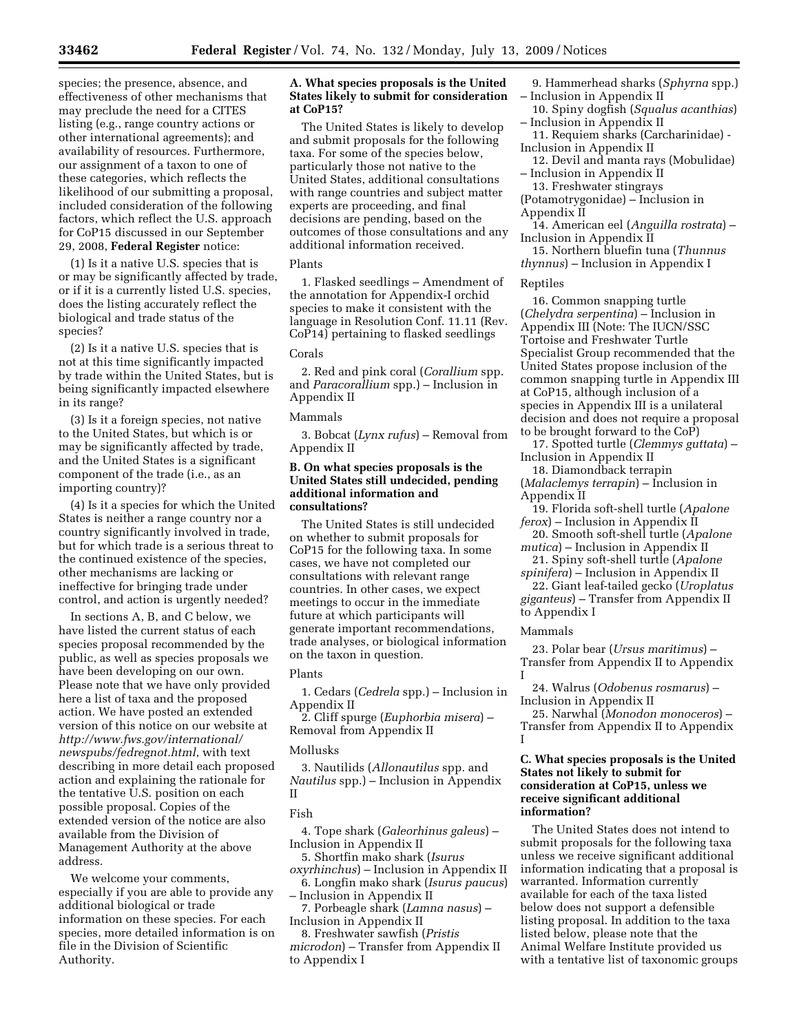species; the presence, absence, and effectiveness of other mechanisms that may preclude the need for a CITES listing (e.g., range country actions or other international agreements); and availability of resources. Furthermore, our assignment of a taxon to one of these categories, which reflects the likelihood of our submitting a proposal, included consideration of the following factors, which reflect the U.S. approach for CoP15 discussed in our September 29, 2008, **Federal Register** notice:

(1) Is it a native U.S. species that is or may be significantly affected by trade, or if it is a currently listed U.S. species, does the listing accurately reflect the biological and trade status of the species?

(2) Is it a native U.S. species that is not at this time significantly impacted by trade within the United States, but is being significantly impacted elsewhere in its range?

(3) Is it a foreign species, not native to the United States, but which is or may be significantly affected by trade, and the United States is a significant component of the trade (i.e., as an importing country)?

(4) Is it a species for which the United States is neither a range country nor a country significantly involved in trade, but for which trade is a serious threat to the continued existence of the species, other mechanisms are lacking or ineffective for bringing trade under control, and action is urgently needed?

In sections A, B, and C below, we have listed the current status of each species proposal recommended by the public, as well as species proposals we have been developing on our own. Please note that we have only provided here a list of taxa and the proposed action. We have posted an extended version of this notice on our website at *http://www.fws.gov/international/ newspubs/fedregnot.html*, with text describing in more detail each proposed action and explaining the rationale for the tentative U.S. position on each possible proposal. Copies of the extended version of the notice are also available from the Division of Management Authority at the above address.

We welcome your comments, especially if you are able to provide any additional biological or trade information on these species. For each species, more detailed information is on file in the Division of Scientific Authority.

# **A. What species proposals is the United States likely to submit for consideration at CoP15?**

The United States is likely to develop and submit proposals for the following taxa. For some of the species below, particularly those not native to the United States, additional consultations with range countries and subject matter experts are proceeding, and final decisions are pending, based on the outcomes of those consultations and any additional information received.

# Plants

1. Flasked seedlings – Amendment of the annotation for Appendix-I orchid species to make it consistent with the language in Resolution Conf. 11.11 (Rev. CoP14) pertaining to flasked seedlings

#### Corals

2. Red and pink coral (*Corallium* spp. and *Paracorallium* spp.) – Inclusion in Appendix II

### Mammals

3. Bobcat (*Lynx rufus*) – Removal from Appendix II

### **B. On what species proposals is the United States still undecided, pending additional information and consultations?**

The United States is still undecided on whether to submit proposals for CoP15 for the following taxa. In some cases, we have not completed our consultations with relevant range countries. In other cases, we expect meetings to occur in the immediate future at which participants will generate important recommendations, trade analyses, or biological information on the taxon in question.

#### Plants

1. Cedars (*Cedrela* spp.) – Inclusion in Appendix II

2. Cliff spurge (*Euphorbia misera*) – Removal from Appendix II

## Mollusks

3. Nautilids (*Allonautilus* spp. and *Nautilus* spp.) – Inclusion in Appendix II

### Fish

4. Tope shark (*Galeorhinus galeus*) – Inclusion in Appendix II

- 5. Shortfin mako shark (*Isurus oxyrhinchus*) – Inclusion in Appendix II
- 6. Longfin mako shark (*Isurus paucus*) – Inclusion in Appendix II
- 7. Porbeagle shark (*Lamna nasus*) Inclusion in Appendix II
- 8. Freshwater sawfish (*Pristis*
- *microdon*) Transfer from Appendix II to Appendix I

9. Hammerhead sharks (*Sphyrna* spp.) – Inclusion in Appendix II

- 10. Spiny dogfish (*Squalus acanthias*) – Inclusion in Appendix II
- 11. Requiem sharks (Carcharinidae) Inclusion in Appendix II
- 12. Devil and manta rays (Mobulidae) – Inclusion in Appendix II
- 13. Freshwater stingrays
- (Potamotrygonidae) Inclusion in Appendix II
- 14. American eel (*Anguilla rostrata*) Inclusion in Appendix II
- 15. Northern bluefin tuna (*Thunnus thynnus*) – Inclusion in Appendix I

### Reptiles

16. Common snapping turtle (*Chelydra serpentina*) – Inclusion in Appendix III (Note: The IUCN/SSC Tortoise and Freshwater Turtle Specialist Group recommended that the United States propose inclusion of the common snapping turtle in Appendix III at CoP15, although inclusion of a species in Appendix III is a unilateral decision and does not require a proposal to be brought forward to the CoP)

17. Spotted turtle (*Clemmys guttata*) – Inclusion in Appendix II

18. Diamondback terrapin (*Malaclemys terrapin*) – Inclusion in Appendix II

- 19. Florida soft-shell turtle (*Apalone ferox*) – Inclusion in Appendix II
- 20. Smooth soft-shell turtle (*Apalone mutica*) – Inclusion in Appendix II
- 21. Spiny soft-shell turtle (*Apalone spinifera*) – Inclusion in Appendix II
- 22. Giant leaf-tailed gecko (*Uroplatus giganteus*) – Transfer from Appendix II to Appendix I

#### Mammals

23. Polar bear (*Ursus maritimus*) – Transfer from Appendix II to Appendix I

24. Walrus (*Odobenus rosmarus*) – Inclusion in Appendix II

25. Narwhal (*Monodon monoceros*) – Transfer from Appendix II to Appendix I

# **C. What species proposals is the United States not likely to submit for consideration at CoP15, unless we receive significant additional information?**

The United States does not intend to submit proposals for the following taxa unless we receive significant additional information indicating that a proposal is warranted. Information currently available for each of the taxa listed below does not support a defensible listing proposal. In addition to the taxa listed below, please note that the Animal Welfare Institute provided us with a tentative list of taxonomic groups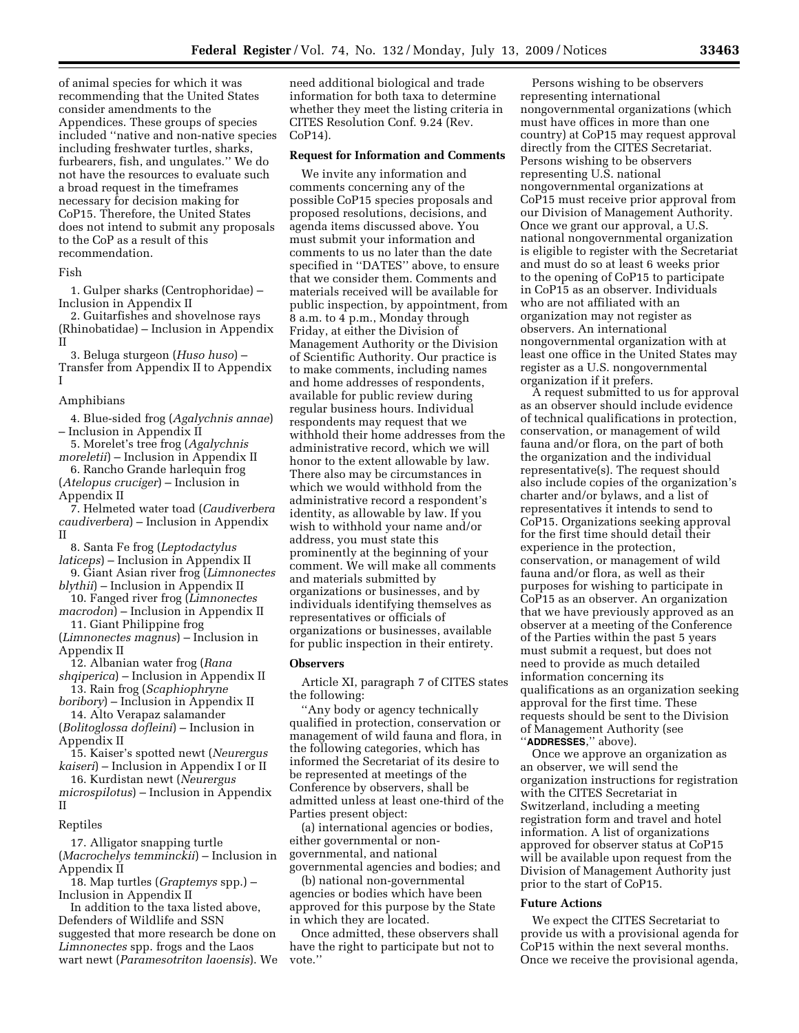of animal species for which it was recommending that the United States consider amendments to the Appendices. These groups of species included ''native and non-native species including freshwater turtles, sharks, furbearers, fish, and ungulates.'' We do not have the resources to evaluate such a broad request in the timeframes necessary for decision making for CoP15. Therefore, the United States does not intend to submit any proposals to the CoP as a result of this recommendation.

### Fish

1. Gulper sharks (Centrophoridae) – Inclusion in Appendix II

2. Guitarfishes and shovelnose rays (Rhinobatidae) – Inclusion in Appendix II

3. Beluga sturgeon (*Huso huso*) – Transfer from Appendix II to Appendix I

### Amphibians

4. Blue-sided frog (*Agalychnis annae*) – Inclusion in Appendix II

5. Morelet's tree frog (*Agalychnis moreletii*) – Inclusion in Appendix II

6. Rancho Grande harlequin frog (*Atelopus cruciger*) – Inclusion in Appendix II

7. Helmeted water toad (*Caudiverbera caudiverbera*) – Inclusion in Appendix II

8. Santa Fe frog (*Leptodactylus* 

*laticeps*) – Inclusion in Appendix II 9. Giant Asian river frog (*Limnonectes* 

- *blythii*) Inclusion in Appendix II 10. Fanged river frog (*Limnonectes*
- *macrodon*) Inclusion in Appendix II 11. Giant Philippine frog

(*Limnonectes magnus*) – Inclusion in Appendix II

12. Albanian water frog (*Rana shqiperica*) – Inclusion in Appendix II

13. Rain frog (*Scaphiophryne boribory*) – Inclusion in Appendix II

14. Alto Verapaz salamander (*Bolitoglossa dofleini*) – Inclusion in Appendix II

15. Kaiser's spotted newt (*Neurergus kaiseri*) – Inclusion in Appendix I or II

16. Kurdistan newt (*Neurergus microspilotus*) – Inclusion in Appendix II

#### Reptiles

17. Alligator snapping turtle (*Macrochelys temminckii*) – Inclusion in Appendix II

18. Map turtles (*Graptemys* spp.) – Inclusion in Appendix II

In addition to the taxa listed above, Defenders of Wildlife and SSN suggested that more research be done on *Limnonectes* spp. frogs and the Laos wart newt (*Paramesotriton laoensis*). We

need additional biological and trade information for both taxa to determine whether they meet the listing criteria in CITES Resolution Conf. 9.24 (Rev. CoP14).

### **Request for Information and Comments**

We invite any information and comments concerning any of the possible CoP15 species proposals and proposed resolutions, decisions, and agenda items discussed above. You must submit your information and comments to us no later than the date specified in ''DATES'' above, to ensure that we consider them. Comments and materials received will be available for public inspection, by appointment, from 8 a.m. to 4 p.m., Monday through Friday, at either the Division of Management Authority or the Division of Scientific Authority. Our practice is to make comments, including names and home addresses of respondents, available for public review during regular business hours. Individual respondents may request that we withhold their home addresses from the administrative record, which we will honor to the extent allowable by law. There also may be circumstances in which we would withhold from the administrative record a respondent's identity, as allowable by law. If you wish to withhold your name and/or address, you must state this prominently at the beginning of your comment. We will make all comments and materials submitted by organizations or businesses, and by individuals identifying themselves as representatives or officials of organizations or businesses, available for public inspection in their entirety.

### **Observers**

Article XI, paragraph 7 of CITES states the following:

''Any body or agency technically qualified in protection, conservation or management of wild fauna and flora, in the following categories, which has informed the Secretariat of its desire to be represented at meetings of the Conference by observers, shall be admitted unless at least one-third of the Parties present object:

(a) international agencies or bodies, either governmental or nongovernmental, and national governmental agencies and bodies; and

(b) national non-governmental agencies or bodies which have been approved for this purpose by the State in which they are located.

Once admitted, these observers shall have the right to participate but not to vote.''

Persons wishing to be observers representing international nongovernmental organizations (which must have offices in more than one country) at CoP15 may request approval directly from the CITES Secretariat. Persons wishing to be observers representing U.S. national nongovernmental organizations at CoP15 must receive prior approval from our Division of Management Authority. Once we grant our approval, a U.S. national nongovernmental organization is eligible to register with the Secretariat and must do so at least 6 weeks prior to the opening of CoP15 to participate in CoP15 as an observer. Individuals who are not affiliated with an organization may not register as observers. An international nongovernmental organization with at least one office in the United States may register as a U.S. nongovernmental organization if it prefers.

A request submitted to us for approval as an observer should include evidence of technical qualifications in protection, conservation, or management of wild fauna and/or flora, on the part of both the organization and the individual representative(s). The request should also include copies of the organization's charter and/or bylaws, and a list of representatives it intends to send to CoP15. Organizations seeking approval for the first time should detail their experience in the protection, conservation, or management of wild fauna and/or flora, as well as their purposes for wishing to participate in CoP15 as an observer. An organization that we have previously approved as an observer at a meeting of the Conference of the Parties within the past 5 years must submit a request, but does not need to provide as much detailed information concerning its qualifications as an organization seeking approval for the first time. These requests should be sent to the Division of Management Authority (see ''**ADDRESSES**,'' above).

Once we approve an organization as an observer, we will send the organization instructions for registration with the CITES Secretariat in Switzerland, including a meeting registration form and travel and hotel information. A list of organizations approved for observer status at CoP15 will be available upon request from the Division of Management Authority just prior to the start of CoP15.

#### **Future Actions**

We expect the CITES Secretariat to provide us with a provisional agenda for CoP15 within the next several months. Once we receive the provisional agenda,